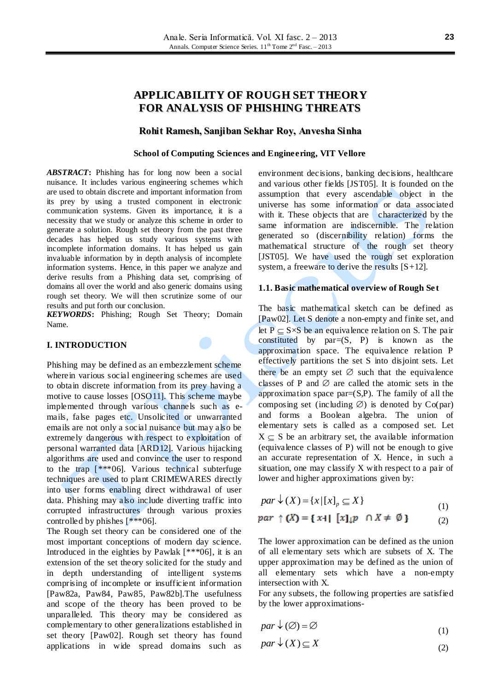## **APPLICABILITY OF ROUGH SET THEORY FOR ANALYSIS OF PHISHING THREATS**

#### **Rohit Ramesh, Sanjiban Sekhar Roy, Anvesha Sinha**

#### **School of Computing Sciences and Engineering, VIT Vellore**

*ABSTRACT***:** Phishing has for long now been a social nuisance. It includes various engineering schemes which are used to obtain discrete and important information from its prey by using a trusted component in electronic communication systems. Given its importance, it is a necessity that we study or analyze this scheme in order to generate a solution. Rough set theory from the past three decades has helped us study various systems with incomplete information domains. It has helped us gain invaluable information by in depth analysis of incomplete information systems. Hence, in this paper we analyze and derive results from a Phishing data set, comprising of domains all over the world and also generic domains using rough set theory. We will then scrutinize some of our results and put forth our conclusion.

*KEYWORDS***:** Phishing; Rough Set Theory; Domain Name.

#### **I. INTRODUCTION**

Phishing may be defined as an embezzlement scheme wherein various social engineering schemes are used to obtain discrete information from its prey having a motive to cause losses [OSO11]. This scheme maybe implemented through various channels such as emails, false pages etc. Unsolicited or unwarranted emails are not only a social nuisance but may also be extremely dangerous with respect to exploitation of personal warranted data [ARD12]. Various hijacking algorithms are used and convince the user to respond to the trap  $[***06]$ . Various technical subterfuge techniques are used to plant CRIMEWARES directly into user forms enabling direct withdrawal of user data. Phishing may also include diverting traffic into corrupted infrastructures through various proxies controlled by phishes [\*\*\*06].

The Rough set theory can be considered one of the most important conceptions of modern day science. Introduced in the eighties by Pawlak [\*\*\*06], it is an extension of the set theory solicited for the study and in depth understanding of intelligent systems comprising of incomplete or insufficient information [Paw82a, Paw84, Paw85, Paw82b].The usefulness and scope of the theory has been proved to be unparalleled. This theory may be considered as complementary to other generalizations established in set theory [Paw02]. Rough set theory has found applications in wide spread domains such as environment decisions, banking decisions, healthcare and various other fields [JST05]. It is founded on the assumption that every ascendable object in the universe has some information or data associated with it. These objects that are characterized by the same information are indiscernible. The relation generated so (discernibility relation) forms the mathematical structure of the rough set theory [JST05]. We have used the rough set exploration system, a freeware to derive the results  $[S+12]$ .

#### 1.1. Basic mathematical overview of Rough Set

The basic mathematical sketch can be defined as [Paw02]. Let S denote a non-empty and finite set, and let  $P \subset S \times S$  be an equivalence relation on S. The pair constituted by  $par=(S, P)$  is known as the approximation space. The equivalence relation P effectively partitions the set S into disjoint sets. Let there be an empty set  $\varnothing$  such that the equivalence classes of P and  $\varnothing$  are called the atomic sets in the approximation space  $par=(S,P)$ . The family of all the composing set (including  $\varnothing$ ) is denoted by Co(par) and forms a Boolean algebra. The union of elementary sets is called as a composed set. Let  $X \subset S$  be an arbitrary set, the available information (equivalence classes of P) will not be enough to give an accurate representation of X. Hence, in such a situation, one may classify X with respect to a pair of lower and higher approximations given by:

$$
par \downarrow (X) = \{x \mid [x]_p \subseteq X\}
$$
\n<sup>(1)</sup>

$$
par \uparrow (X) = \{ x \mid [x]_{\downarrow} p \cap X \neq \emptyset \}
$$
 (2)

The lower approximation can be defined as the union of all elementary sets which are subsets of X. The upper approximation may be defined as the union of all elementary sets which have a non-empty intersection with X.

For any subsets, the following properties are satisfied by the lower approximations-

 $par \downarrow (\emptyset) = \emptyset$ (1)

$$
par \downarrow (X) \subseteq X \tag{2}
$$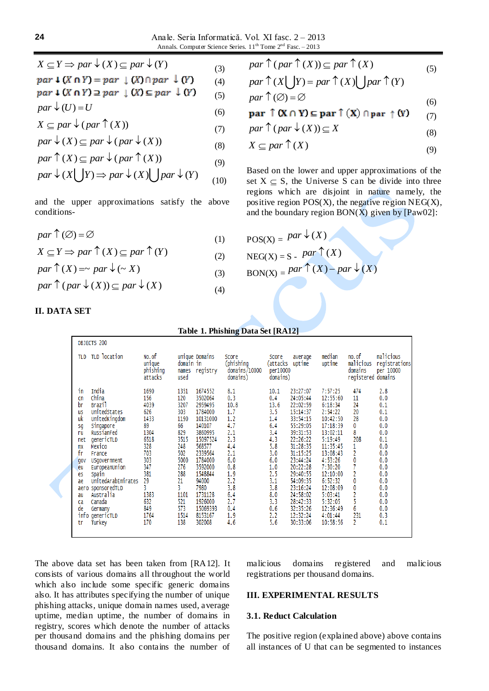(6)

$$
par \downarrow (X \cap Y) = par \downarrow (X) \cap par \downarrow (Y) \qquad (4)
$$
  
par \downarrow (X \cap Y) \supseteq par \downarrow (X) \supseteq par \downarrow (Y) \qquad (5)

$$
par \downarrow (U) = U
$$

$$
X \subseteq par \downarrow (par \uparrow (X))
$$
\n(7)

$$
par \downarrow (X) \subset par \downarrow (par \downarrow (X))
$$

$$
par \uparrow (X) \subseteq par \downarrow (par \uparrow (X))
$$
\n
$$
par \uparrow (X) \subseteq par \downarrow (par \uparrow (X))
$$
\n(8)

$$
par \mid (\Lambda) \subseteq par \lor (par \mid (\Lambda)) \tag{9}
$$

$$
par \uparrow (X) \subseteq par \downarrow (par \uparrow (X))
$$
  
par 
$$
\downarrow (X \bigcup Y) \Rightarrow par \downarrow (X) \bigcup par \downarrow (Y)
$$
 (9)

and the upper approximations satisfy the above conditions-

$$
par \uparrow (\emptyset) = \emptyset \tag{1}
$$

$$
X \subseteq Y \implies par \uparrow (X) \subseteq par \uparrow (Y)
$$
\n(1)  
\n
$$
X \subseteq Y \implies par \uparrow (X) \subseteq par \uparrow (Y)
$$
\n(2)

 $par \uparrow (X) = \sim par \downarrow (\sim X)$ (3)

$$
par \uparrow (par \downarrow (X)) \subseteq par \downarrow (X)
$$
 (4)

$$
par \uparrow (par \uparrow (X)) \subseteq par \uparrow (X)
$$
 (5)

$$
par \top (par \top (X)) \subseteq par \top (X)
$$
  
par \top (X \cup Y) = par \top (X) \cup par \top (Y) (5)

$$
par \uparrow (\emptyset) = \emptyset \tag{6}
$$

(7)

$$
par \uparrow (par \downarrow (X)) \subseteq X
$$
\n(8)

$$
X \subseteq par \uparrow (X) \tag{9}
$$

Based on the lower and upper approximations of the set  $X \subseteq S$ , the Universe S can be divide into three regions which are disjoint in nature namely, the positive region  $POS(X)$ , the negative region  $NEG(X)$ , and the boundary region  $BON(X)$  given by  $[Paw02]$ :

$$
POS(X) = par \downarrow (X)
$$
  
NEG(X) = S -  $par \uparrow (X)$   
BON(X) =  $par \uparrow (X) - par \downarrow (X)$ 

# **II. DATA SET**

| OBJECTS 200<br>malicious<br>TLD location<br>No. of<br>median<br>no. of<br>unique Domains<br>Score<br>Score<br>average<br>TLD<br>(phishing<br>unique<br>uptime<br>malicious<br>(attacks<br>uptime<br>registrations<br>domain in<br>phishing<br>registry<br>domains/10000<br>per10000<br>per 10000<br>domains<br>names<br>domains)<br>domains<br>attacks<br>domains)<br>registered<br>used<br>India<br>1351<br>1674552<br>8.1<br>23:27:07<br>474<br>2.8<br>1690<br>10.1<br>7:57:25<br>in<br>China<br>0.3<br>156<br>120<br>3502064<br>0.4<br>24:05:44<br>11<br>0.0<br>12:55:60<br>cn<br>13.6<br>3207<br>24<br>br<br>Brazil<br>4039<br>2959495<br>10.8<br>22:02:59<br>6:18:34<br>0.1<br>1.7<br>626<br>3.5<br>20<br>303<br>1784000<br>15:14:37<br>2:54:22<br>0.1<br>UnitedStates<br>us<br>uk<br>UnitedKingdom<br>1433<br>1190<br>1.2<br>1.4<br>28<br>0.0<br>10131000<br>33:54:15<br>10:42:50<br>4.7<br>6.4<br>89<br>66<br>140107<br>55:29:05<br>17:18:39<br>0<br>0.0<br>Singapore<br>sg<br>8<br>3.4<br>1304<br>2.1<br>829<br>3860995<br>39:31:53<br>13:02:11<br>0.0<br>RussianFed<br>ru<br>6518<br>3515<br>2.3<br>208<br>15097524<br>4.3<br>22:26:22<br>5:19:49<br>0.1<br>genericTLD<br>net<br>5.8<br>31:28:35<br>1<br>328<br>248<br>568577<br>4.4<br>11:35:45<br>0.0<br>Mexico<br>mх<br>2<br>703<br>3.0<br>fr<br>502<br>2339564<br>2.1<br>31:15:25<br>13:08:43<br>0.0<br>France<br>0<br>303<br>5000<br>1784000<br>6.0<br>6.0<br>23:44:24<br>4:53:26<br>0.0<br>USgovernment<br>gov<br>347<br>276<br>0.8<br>1.0<br>20:22:28<br>7:30:20<br>0.0<br>3592000<br>EuropeanUnion<br>eu<br>2<br>381<br>2.5<br>288<br>1548844<br>1.9<br>29:40:55<br>12:10:00<br>0.0<br>Spain<br>es<br>29<br>0<br>UnitedArabEmirates<br>21<br>3.1<br>94000<br>2.2<br>6:52:32<br>54:09:35<br>0.0<br>ae<br>3<br>3.8<br>0<br>3.8<br>sponsoredTLD<br>7980<br>23:16:24<br>12:08:09<br>0.0<br>aero<br>2<br>6.4<br>1383<br>1101<br>1731128<br>8.0<br>24:58:02<br>5:03:41<br>Australia<br>0.0<br>au<br>5<br>521<br>2.7<br>3.3<br>5:32:05<br>632<br>1926000<br>28:42:33<br>0.0<br>Canada<br>ca<br>6<br>849<br>573<br>de<br>15069393<br>0.6<br>32:35:26<br>0.4<br>12:36:49<br>0.0<br>Germany<br>info genericTLD<br>1764<br>1514<br>8153167<br>2.2<br>12:32:24<br>4:01:44<br>231<br>1.9<br>0.3<br>2<br>138<br>302008<br>4.6<br>5.6<br>30:33:06<br>Turkey<br>170<br>10:58:56<br>0.1<br>tr |  |  |  |  |  |  |  |  |  |  |
|-----------------------------------------------------------------------------------------------------------------------------------------------------------------------------------------------------------------------------------------------------------------------------------------------------------------------------------------------------------------------------------------------------------------------------------------------------------------------------------------------------------------------------------------------------------------------------------------------------------------------------------------------------------------------------------------------------------------------------------------------------------------------------------------------------------------------------------------------------------------------------------------------------------------------------------------------------------------------------------------------------------------------------------------------------------------------------------------------------------------------------------------------------------------------------------------------------------------------------------------------------------------------------------------------------------------------------------------------------------------------------------------------------------------------------------------------------------------------------------------------------------------------------------------------------------------------------------------------------------------------------------------------------------------------------------------------------------------------------------------------------------------------------------------------------------------------------------------------------------------------------------------------------------------------------------------------------------------------------------------------------------------------------------------------------------------------------------------------------------------------------------------------------------------------------------------------------------------------------------------------------------------------------------------------------------------------------------------------|--|--|--|--|--|--|--|--|--|--|
|                                                                                                                                                                                                                                                                                                                                                                                                                                                                                                                                                                                                                                                                                                                                                                                                                                                                                                                                                                                                                                                                                                                                                                                                                                                                                                                                                                                                                                                                                                                                                                                                                                                                                                                                                                                                                                                                                                                                                                                                                                                                                                                                                                                                                                                                                                                                               |  |  |  |  |  |  |  |  |  |  |
|                                                                                                                                                                                                                                                                                                                                                                                                                                                                                                                                                                                                                                                                                                                                                                                                                                                                                                                                                                                                                                                                                                                                                                                                                                                                                                                                                                                                                                                                                                                                                                                                                                                                                                                                                                                                                                                                                                                                                                                                                                                                                                                                                                                                                                                                                                                                               |  |  |  |  |  |  |  |  |  |  |
|                                                                                                                                                                                                                                                                                                                                                                                                                                                                                                                                                                                                                                                                                                                                                                                                                                                                                                                                                                                                                                                                                                                                                                                                                                                                                                                                                                                                                                                                                                                                                                                                                                                                                                                                                                                                                                                                                                                                                                                                                                                                                                                                                                                                                                                                                                                                               |  |  |  |  |  |  |  |  |  |  |

**Table 1. Phishing Data Set [RA12]**

The above data set has been taken from [RA12]. It consists of various domains all throughout the world which also include some specific generic domains also. It has attributes specifying the number of unique phishing attacks, unique domain names used, average uptime, median uptime, the number of domains in registry, scores which denote the number of attacks per thousand domains and the phishing domains per thousand domains. It also contains the number of

malicious domains registered and malicious registrations per thousand domains.

#### **III. EXPERIMENTAL RESULTS**

#### **3.1. Reduct Calculation**

The positive region (explained above) above contains all instances of U that can be segmented to instances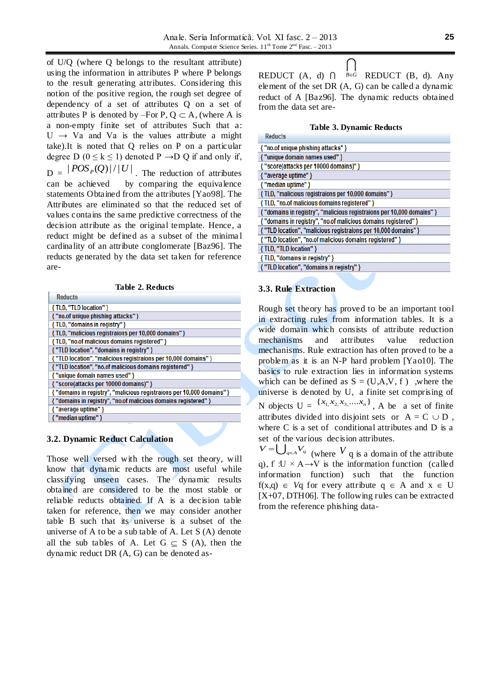of U/Q (where Q belongs to the resultant attribute) using the information in attributes P where P belongs to the result generating attributes. Considering this notion of the positive region, the rough set degree of dependency of a set of attributes Q on a set of attributes P is denoted by –For P,  $O \subset A$ , (where A is a non-empty finite set of attributes Such that a:  $U \rightarrow Va$  and Va is the values attribute a might take).It is noted that Q relies on P on a particular degree D ( $0 \le k \le 1$ ) denoted P  $\rightarrow$ D Q if and only if,  $D = \frac{|POS_{P}(Q)|}{|U|}$ . The reduction of attributes can be achieved by comparing the equivalence statements Obtained from the attributes [Yao98]. The Attributes are eliminated so that the reduced set of values contains the same predictive correctness of the decision attribute as the original template. Hence, a reduct might be defined as a subset of the minima l cardinality of an attribute conglomerate [Baz96]. The reducts generated by the data set taken for reference are-

**Table 2. Reducts**

| <b>Reducts</b>                                                         |
|------------------------------------------------------------------------|
| { TLD, "TLD location" }                                                |
| { "no.of unique phishing attacks" }                                    |
| {TLD, "domains in registry" }                                          |
| {TLD, "malicious registraions per 10,000 domains" }                    |
| {TLD, "no.of malicious domains registered" }                           |
| { "TLD location", "domains in registry" }                              |
| { "TLD location", "malicious registraions per 10,000 domains" }        |
| { "TLD location", "no.of malicious domains registered" }               |
| { "unique domain names used" }                                         |
| { "score(attacks per 10000 domains)" }                                 |
| { "domains in registry", "malicious registraions per 10,000 domains" } |
| { "domains in registry", "no.of malicious domains registered" }        |
| { "average uptime" }                                                   |
| { "median uptime" }                                                    |
|                                                                        |

#### **3.2. Dynamic Reduct Calculation**

Those well versed with the rough set theory, will know that dynamic reducts are most useful while classifying unseen cases. The dynamic results obtained are considered to be the most stable or reliable reducts obtained. If A is a decision table taken for reference, then we may consider another table B such that its universe is a subset of the universe of A to be a sub table of A. Let S (A) denote all the sub tables of A. Let  $G \subseteq S$  (A), then the dynamic reduct DR (A, G) can be denoted as-

 $\vert \ \ \vert$ REDUCT  $(A, d)$   $\bigcap$   $B \in G$  REDUCT  $(B, d)$ . Any element of the set DR (A, G) can be called a dynamic reduct of A [Baz96]. The dynamic reducts obtained from the data set are-

#### **Table 3. Dynamic Reducts**

| Requets                                                                |  |  |  |  |  |  |
|------------------------------------------------------------------------|--|--|--|--|--|--|
| { "no.of unique phishing attacks" }                                    |  |  |  |  |  |  |
| { "unique domain names used" }                                         |  |  |  |  |  |  |
| { "score(attacks per 10000 domains)" }                                 |  |  |  |  |  |  |
| { "average uptime" }                                                   |  |  |  |  |  |  |
| { "median uptime" }                                                    |  |  |  |  |  |  |
| {TLD, "malicious registraions per 10,000 domains" }                    |  |  |  |  |  |  |
| {TLD, "no.of malicious domains registered" }                           |  |  |  |  |  |  |
| { "domains in registry", "malicious registraions per 10,000 domains" } |  |  |  |  |  |  |
| { "domains in registry", "no.of malicious domains registered" }        |  |  |  |  |  |  |
| { "TLD location", "malicious registraions per 10,000 domains" }        |  |  |  |  |  |  |
| { "TLD location", "no.of malicious domains registered" }               |  |  |  |  |  |  |
| { TLD, "TLD location" }                                                |  |  |  |  |  |  |
| {TLD, "domains in registry" }                                          |  |  |  |  |  |  |
| { "TLD location", "domains in registry" }                              |  |  |  |  |  |  |
|                                                                        |  |  |  |  |  |  |

#### **3.3. Rule Extraction**

Rough set theory has proved to be an important tool in extracting rules from information tables. It is a wide domain which consists of attribute reduction mechanisms and attributes value reduction mechanisms. Rule extraction has often proved to be a problem as it is an N-P hard problem [Yao10]. The basics to rule extraction lies in information systems which can be defined as  $S = (U, A, V, f)$ , where the universe is denoted by U, a finite set comprising of N objects  $U = \{x_1, x_2, x_3, \dots, x_n\}$ , A be a set of finite attributes divided into disjoint sets or  $A = C \cup D$ , where C is a set of conditional attributes and D is a set of the various decision attributes.

 $V = \bigcup_{q \in A} V_q$  (where V q is a domain of the attribute q), f :U  $\times$  A→V is the information function (called information function) such that the function  $f(x,q) \in V_q$  for every attribute  $q \in A$  and  $x \in U$ [X+07, DTH06]. The following rules can be extracted from the reference phishing data-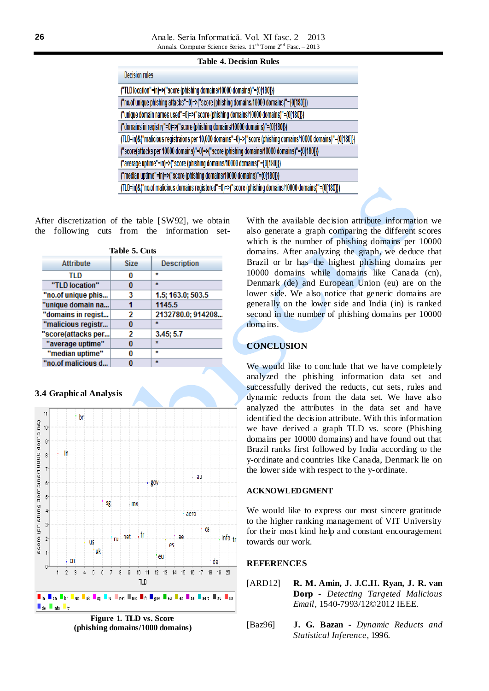#### **Table 4. Decision Rules**

| <b>Decision rules</b>                                                                                         |  |  |  |  |  |  |
|---------------------------------------------------------------------------------------------------------------|--|--|--|--|--|--|
| ("TLD location"=in)=>("score (phishing domains/10000 domains)"={0[180]})                                      |  |  |  |  |  |  |
| ("no.of unique phishing attacks"=0)=>("score (phishing domains/10000 domains)"={0[180]})                      |  |  |  |  |  |  |
| ("unique domain names used"=0)=>("score (phishing domains/10000 domains)"={0[180]})                           |  |  |  |  |  |  |
| ("domains in registry"=0)=>("score (phishing domains/10000 domains)"={0[180]})                                |  |  |  |  |  |  |
| (TLD=in)&("malicious registraions per 10,000 domains"=0)=>("score (phishing domains/10000 domains)"={0[180]}) |  |  |  |  |  |  |
| ("score(attacks per 10000 domains)"=0)=>("score (phishing domains/10000 domains)"={0[180]})                   |  |  |  |  |  |  |
| ("average uptime"=in)=>("score (phishing domains/10000 domains)"={0[180]})                                    |  |  |  |  |  |  |
| ("median uptime"=in)=>("score (phishing domains/10000 domains)"={0[180]})                                     |  |  |  |  |  |  |
| (TLD=in)&("no.of malicious domains registered"=0)=>("score (phishing domains/10000 domains)"={0[180]})        |  |  |  |  |  |  |

After discretization of the table [SW92], we obtain the following cuts from the information set-

| Table 5. Cuts      |             |                    |  |  |  |  |  |  |
|--------------------|-------------|--------------------|--|--|--|--|--|--|
| <b>Attribute</b>   | <b>Size</b> | <b>Description</b> |  |  |  |  |  |  |
| TLD                | 0           | ÷                  |  |  |  |  |  |  |
| "TLD location"     | 0           | $\star$            |  |  |  |  |  |  |
| "no.of unique phis | 3           | 1.5; 163.0; 503.5  |  |  |  |  |  |  |
| "unique domain na  |             | 1145.5             |  |  |  |  |  |  |
| "domains in regist | 2           | 2132780.0; 914208  |  |  |  |  |  |  |
| "malicious registr | 0           | ÷                  |  |  |  |  |  |  |
| 'score(attacks per | 2           | 3.45:5.7           |  |  |  |  |  |  |
| "average uptime"   | 0           | $\star$            |  |  |  |  |  |  |
| "median uptime"    | 0           | ÷                  |  |  |  |  |  |  |
| "no.of malicious d | 0           | $\star$            |  |  |  |  |  |  |

#### **3.4 Graphical Analysis**



**Figure 1. TLD vs. Score (phishing domains/1000 domains)**

With the available decision attribute information we also generate a graph comparing the different scores which is the number of phishing domains per 10000 domains. After analyzing the graph, we deduce that Brazil or br has the highest phishing domains per 10000 domains while domains like Canada (cn), Denmark (de) and European Union (eu) are on the lower side. We also notice that generic domains are generally on the lower side and India (in) is ranked second in the number of phishing domains per 10000 domains.

### **CONCLUSION**

We would like to conclude that we have completely analyzed the phishing information data set and successfully derived the reducts, cut sets, rules and dynamic reducts from the data set. We have also analyzed the attributes in the data set and have identified the decision attribute. With this information we have derived a graph TLD vs. score (Phishing domains per 10000 domains) and have found out that Brazil ranks first followed by India according to the y-ordinate and countries like Canada, Denmark lie on the lower side with respect to the y-ordinate.

#### **ACKNOWLEDGMENT**

We would like to express our most sincere gratitude to the higher ranking management of VIT University for their most kind help and constant encouragement towards our work.

#### **REFERENCES**

- [ARD12] **R. M. Amin, J. J.C.H. Ryan, J. R. van Dorp -** *Detecting Targeted Malicious Email*, 1540-7993/12©2012 IEEE.
- [Baz96] **J. G. Bazan -** *Dynamic Reducts and Statistical Inference*, 1996.